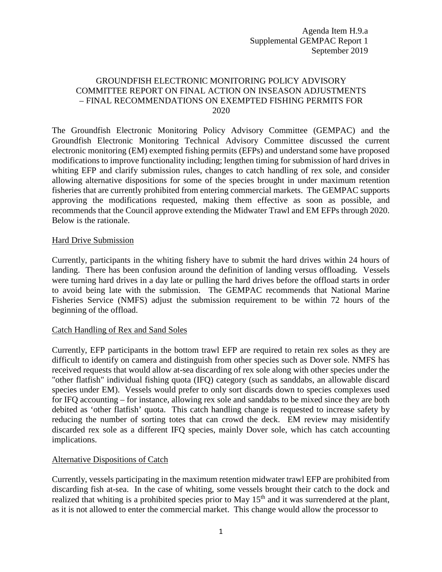Agenda Item H.9.a Supplemental GEMPAC Report 1 September 2019

## GROUNDFISH ELECTRONIC MONITORING POLICY ADVISORY COMMITTEE REPORT ON FINAL ACTION ON INSEASON ADJUSTMENTS – FINAL RECOMMENDATIONS ON EXEMPTED FISHING PERMITS FOR 2020

The Groundfish Electronic Monitoring Policy Advisory Committee (GEMPAC) and the Groundfish Electronic Monitoring Technical Advisory Committee discussed the current electronic monitoring (EM) exempted fishing permits (EFPs) and understand some have proposed modifications to improve functionality including; lengthen timing for submission of hard drives in whiting EFP and clarify submission rules, changes to catch handling of rex sole, and consider allowing alternative dispositions for some of the species brought in under maximum retention fisheries that are currently prohibited from entering commercial markets. The GEMPAC supports approving the modifications requested, making them effective as soon as possible, and recommends that the Council approve extending the Midwater Trawl and EM EFPs through 2020. Below is the rationale.

## Hard Drive Submission

Currently, participants in the whiting fishery have to submit the hard drives within 24 hours of landing. There has been confusion around the definition of landing versus offloading. Vessels were turning hard drives in a day late or pulling the hard drives before the offload starts in order to avoid being late with the submission. The GEMPAC recommends that National Marine Fisheries Service (NMFS) adjust the submission requirement to be within 72 hours of the beginning of the offload.

## Catch Handling of Rex and Sand Soles

Currently, EFP participants in the bottom trawl EFP are required to retain rex soles as they are difficult to identify on camera and distinguish from other species such as Dover sole. NMFS has received requests that would allow at-sea discarding of rex sole along with other species under the "other flatfish" individual fishing quota (IFQ) category (such as sanddabs, an allowable discard species under EM). Vessels would prefer to only sort discards down to species complexes used for IFQ accounting – for instance, allowing rex sole and sanddabs to be mixed since they are both debited as 'other flatfish' quota. This catch handling change is requested to increase safety by reducing the number of sorting totes that can crowd the deck. EM review may misidentify discarded rex sole as a different IFQ species, mainly Dover sole, which has catch accounting implications.

## Alternative Dispositions of Catch

Currently, vessels participating in the maximum retention midwater trawl EFP are prohibited from discarding fish at-sea. In the case of whiting, some vessels brought their catch to the dock and realized that whiting is a prohibited species prior to May 15<sup>th</sup> and it was surrendered at the plant, as it is not allowed to enter the commercial market. This change would allow the processor to